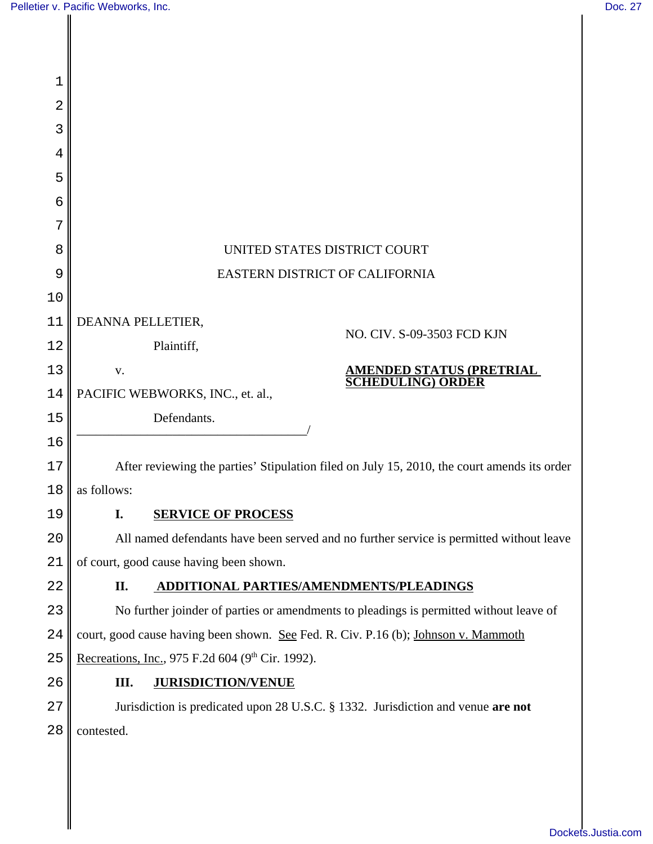| 1  |                                                                                             |  |  |
|----|---------------------------------------------------------------------------------------------|--|--|
| 2  |                                                                                             |  |  |
| 3  |                                                                                             |  |  |
| 4  |                                                                                             |  |  |
| 5  |                                                                                             |  |  |
| 6  |                                                                                             |  |  |
| 7  |                                                                                             |  |  |
| 8  | UNITED STATES DISTRICT COURT                                                                |  |  |
| 9  | EASTERN DISTRICT OF CALIFORNIA                                                              |  |  |
| 10 |                                                                                             |  |  |
| 11 | DEANNA PELLETIER,                                                                           |  |  |
| 12 | NO. CIV. S-09-3503 FCD KJN<br>Plaintiff,                                                    |  |  |
| 13 | <u>AMENDED STATUS (PRETRIAL</u><br>V.<br><b>SCHEDULING) ORDER</b>                           |  |  |
| 14 | PACIFIC WEBWORKS, INC., et. al.,                                                            |  |  |
| 15 | Defendants.                                                                                 |  |  |
| 16 |                                                                                             |  |  |
| 17 | After reviewing the parties' Stipulation filed on July 15, 2010, the court amends its order |  |  |
| 18 | as follows:                                                                                 |  |  |
| 19 | <b>SERVICE OF PROCESS</b>                                                                   |  |  |
| 20 | All named defendants have been served and no further service is permitted without leave     |  |  |
| 21 | of court, good cause having been shown.                                                     |  |  |
| 22 | II.<br>ADDITIONAL PARTIES/AMENDMENTS/PLEADINGS                                              |  |  |
| 23 | No further joinder of parties or amendments to pleadings is permitted without leave of      |  |  |
| 24 | court, good cause having been shown. See Fed. R. Civ. P.16 (b); Johnson v. Mammoth          |  |  |
| 25 | Recreations, Inc., 975 F.2d 604 (9th Cir. 1992).                                            |  |  |
| 26 | III.<br><b>JURISDICTION/VENUE</b>                                                           |  |  |
| 27 | Jurisdiction is predicated upon 28 U.S.C. § 1332. Jurisdiction and venue are not            |  |  |
| 28 | contested.                                                                                  |  |  |
|    |                                                                                             |  |  |
|    |                                                                                             |  |  |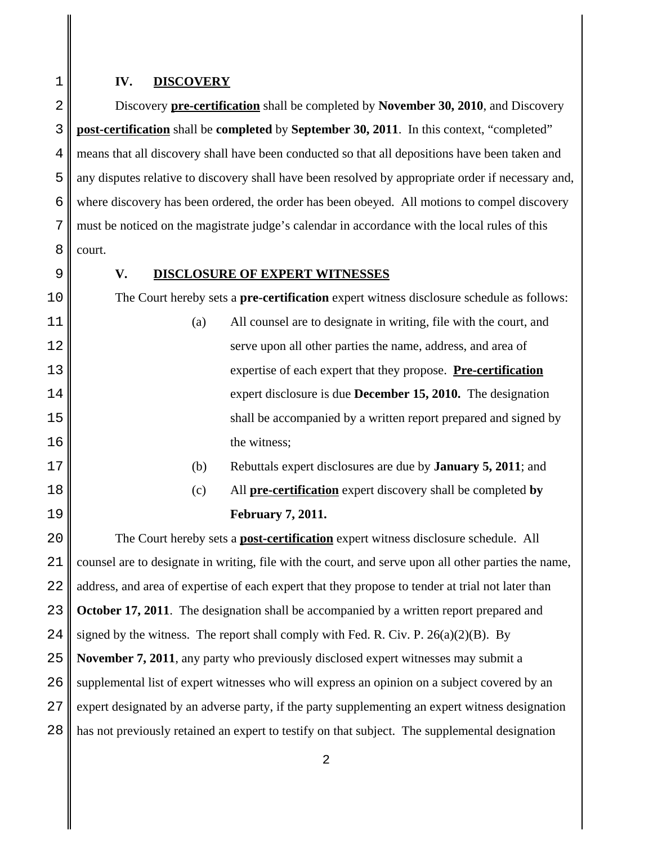## **IV. DISCOVERY**

Discovery **pre-certification** shall be completed by **November 30, 2010**, and Discovery **post-certification** shall be **completed** by **September 30, 2011**. In this context, "completed" means that all discovery shall have been conducted so that all depositions have been taken and any disputes relative to discovery shall have been resolved by appropriate order if necessary and, where discovery has been ordered, the order has been obeyed. All motions to compel discovery must be noticed on the magistrate judge's calendar in accordance with the local rules of this court.

## **V. DISCLOSURE OF EXPERT WITNESSES**

The Court hereby sets a **pre-certification** expert witness disclosure schedule as follows:

- (a) All counsel are to designate in writing, file with the court, and serve upon all other parties the name, address, and area of expertise of each expert that they propose. **Pre-certification** expert disclosure is due **December 15, 2010.** The designation shall be accompanied by a written report prepared and signed by the witness;
- (b) Rebuttals expert disclosures are due by **January 5, 2011**; and
- (c) All **pre-certification** expert discovery shall be completed **by February 7, 2011.**

20 21 22 23 24 25 26 27 28 The Court hereby sets a **post-certification** expert witness disclosure schedule. All counsel are to designate in writing, file with the court, and serve upon all other parties the name, address, and area of expertise of each expert that they propose to tender at trial not later than **October 17, 2011**. The designation shall be accompanied by a written report prepared and signed by the witness. The report shall comply with Fed. R. Civ. P.  $26(a)(2)(B)$ . By **November 7, 2011**, any party who previously disclosed expert witnesses may submit a supplemental list of expert witnesses who will express an opinion on a subject covered by an expert designated by an adverse party, if the party supplementing an expert witness designation has not previously retained an expert to testify on that subject. The supplemental designation

4

5

6

7

8

9

10

11

12

13

14

15

16

17

18

19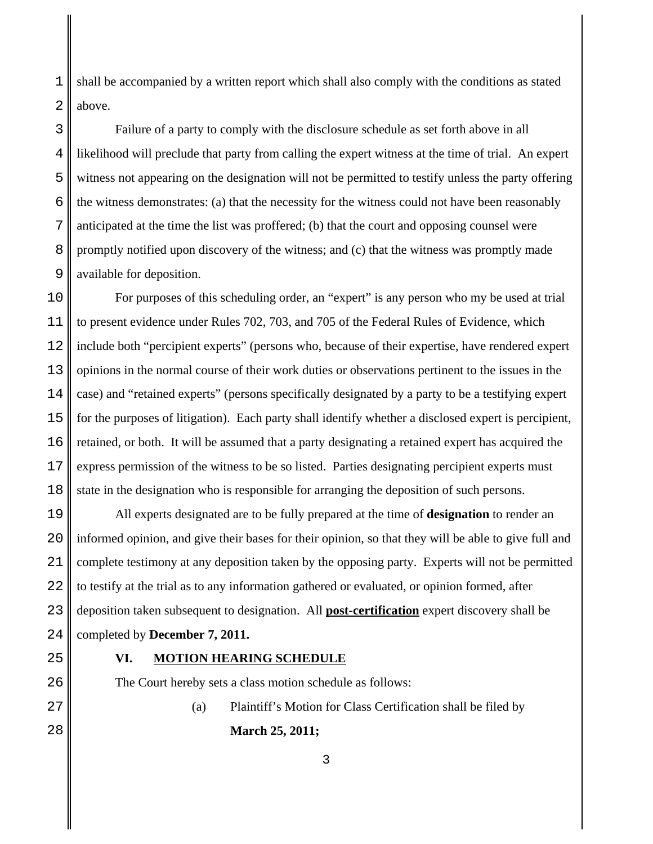1 2 shall be accompanied by a written report which shall also comply with the conditions as stated above.

Failure of a party to comply with the disclosure schedule as set forth above in all likelihood will preclude that party from calling the expert witness at the time of trial. An expert witness not appearing on the designation will not be permitted to testify unless the party offering the witness demonstrates: (a) that the necessity for the witness could not have been reasonably anticipated at the time the list was proffered; (b) that the court and opposing counsel were promptly notified upon discovery of the witness; and (c) that the witness was promptly made available for deposition.

For purposes of this scheduling order, an "expert" is any person who my be used at trial to present evidence under Rules 702, 703, and 705 of the Federal Rules of Evidence, which include both "percipient experts" (persons who, because of their expertise, have rendered expert opinions in the normal course of their work duties or observations pertinent to the issues in the case) and "retained experts" (persons specifically designated by a party to be a testifying expert for the purposes of litigation). Each party shall identify whether a disclosed expert is percipient, retained, or both. It will be assumed that a party designating a retained expert has acquired the express permission of the witness to be so listed. Parties designating percipient experts must state in the designation who is responsible for arranging the deposition of such persons.

All experts designated are to be fully prepared at the time of **designation** to render an informed opinion, and give their bases for their opinion, so that they will be able to give full and complete testimony at any deposition taken by the opposing party. Experts will not be permitted to testify at the trial as to any information gathered or evaluated, or opinion formed, after deposition taken subsequent to designation. All **post-certification** expert discovery shall be completed by **December 7, 2011.**

## **VI. MOTION HEARING SCHEDULE**

The Court hereby sets a class motion schedule as follows:

(a) Plaintiff's Motion for Class Certification shall be filed by **March 25, 2011;**

3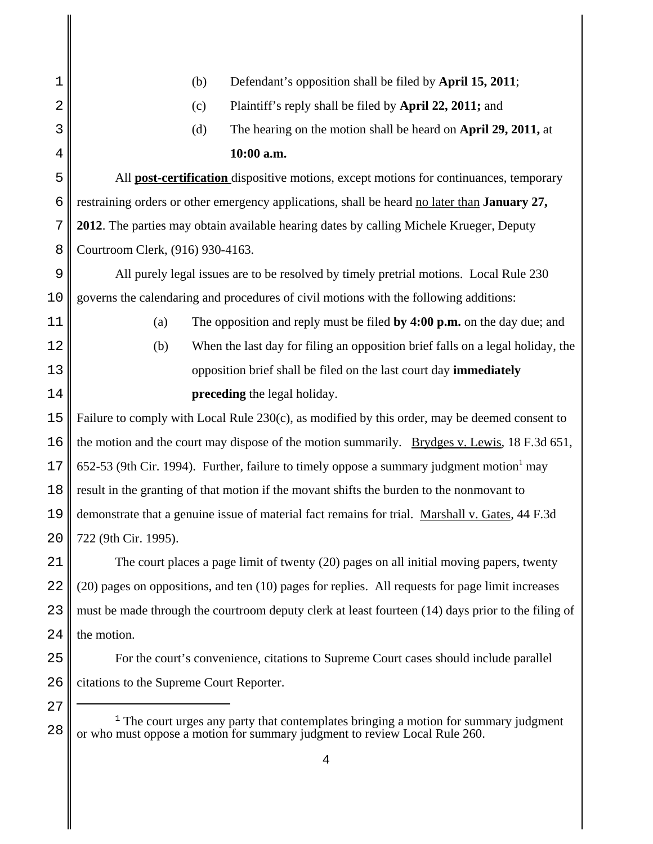| 1              | Defendant's opposition shall be filed by April 15, 2011;<br>(b)                                      |  |  |
|----------------|------------------------------------------------------------------------------------------------------|--|--|
| $\overline{2}$ | Plaintiff's reply shall be filed by April 22, 2011; and<br>(c)                                       |  |  |
| 3              | (d)<br>The hearing on the motion shall be heard on April 29, 2011, at                                |  |  |
| 4              | 10:00 a.m.                                                                                           |  |  |
| 5              | All <b>post-certification</b> dispositive motions, except motions for continuances, temporary        |  |  |
| 6              | restraining orders or other emergency applications, shall be heard no later than <b>January 27,</b>  |  |  |
| 7              | 2012. The parties may obtain available hearing dates by calling Michele Krueger, Deputy              |  |  |
| 8              | Courtroom Clerk, (916) 930-4163.                                                                     |  |  |
| 9              | All purely legal issues are to be resolved by timely pretrial motions. Local Rule 230                |  |  |
| 10             | governs the calendaring and procedures of civil motions with the following additions:                |  |  |
| 11             | The opposition and reply must be filed by $4:00$ p.m. on the day due; and<br>(a)                     |  |  |
| 12             | When the last day for filing an opposition brief falls on a legal holiday, the<br>(b)                |  |  |
| 13             | opposition brief shall be filed on the last court day immediately                                    |  |  |
| 14             | preceding the legal holiday.                                                                         |  |  |
| 15             | Failure to comply with Local Rule 230(c), as modified by this order, may be deemed consent to        |  |  |
| 16             | the motion and the court may dispose of the motion summarily. Brydges v. Lewis, 18 F.3d 651,         |  |  |
|                | 652-53 (9th Cir. 1994). Further, failure to timely oppose a summary judgment motion <sup>1</sup> may |  |  |
| 17             |                                                                                                      |  |  |
| 18             | result in the granting of that motion if the movant shifts the burden to the nonmovant to            |  |  |
| 19             | demonstrate that a genuine issue of material fact remains for trial. Marshall v. Gates, 44 F.3d      |  |  |
| 20             | 722 (9th Cir. 1995).                                                                                 |  |  |
| 21             | The court places a page limit of twenty (20) pages on all initial moving papers, twenty              |  |  |
| 22             | (20) pages on oppositions, and ten (10) pages for replies. All requests for page limit increases     |  |  |
| 23             | must be made through the courtroom deputy clerk at least fourteen (14) days prior to the filing of   |  |  |
| 24             | the motion.                                                                                          |  |  |
| 25             | For the court's convenience, citations to Supreme Court cases should include parallel                |  |  |
| 26             | citations to the Supreme Court Reporter.                                                             |  |  |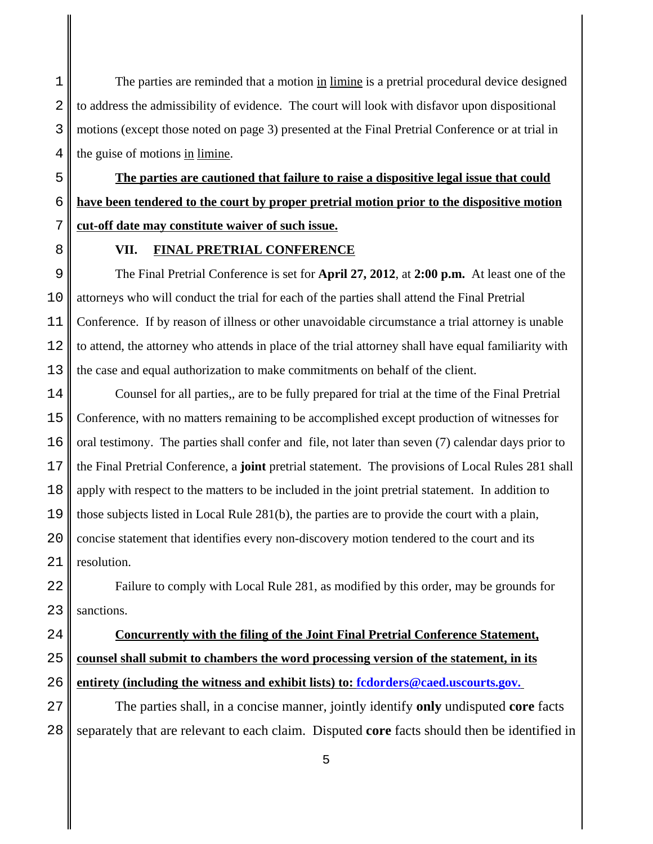The parties are reminded that a motion in limine is a pretrial procedural device designed to address the admissibility of evidence. The court will look with disfavor upon dispositional motions (except those noted on page 3) presented at the Final Pretrial Conference or at trial in the guise of motions in limine.

**The parties are cautioned that failure to raise a dispositive legal issue that could have been tendered to the court by proper pretrial motion prior to the dispositive motion cut-off date may constitute waiver of such issue.**

## **VII. FINAL PRETRIAL CONFERENCE**

The Final Pretrial Conference is set for **April 27, 2012**, at **2:00 p.m.** At least one of the attorneys who will conduct the trial for each of the parties shall attend the Final Pretrial Conference. If by reason of illness or other unavoidable circumstance a trial attorney is unable to attend, the attorney who attends in place of the trial attorney shall have equal familiarity with the case and equal authorization to make commitments on behalf of the client.

Counsel for all parties,*,* are to be fully prepared for trial at the time of the Final Pretrial Conference, with no matters remaining to be accomplished except production of witnesses for oral testimony. The parties shall confer and file, not later than seven (7) calendar days prior to the Final Pretrial Conference, a **joint** pretrial statement. The provisions of Local Rules 281 shall apply with respect to the matters to be included in the joint pretrial statement. In addition to those subjects listed in Local Rule 281(b), the parties are to provide the court with a plain, concise statement that identifies every non-discovery motion tendered to the court and its resolution.

Failure to comply with Local Rule 281, as modified by this order, may be grounds for sanctions.

# **Concurrently with the filing of the Joint Final Pretrial Conference Statement, counsel shall submit to chambers the word processing version of the statement, in its entirety (including the witness and exhibit lists) to: fcdorders@caed.uscourts.gov.**

The parties shall, in a concise manner*,* jointly identify **only** undisputed **core** facts separately that are relevant to each claim. Disputed **core** facts should then be identified in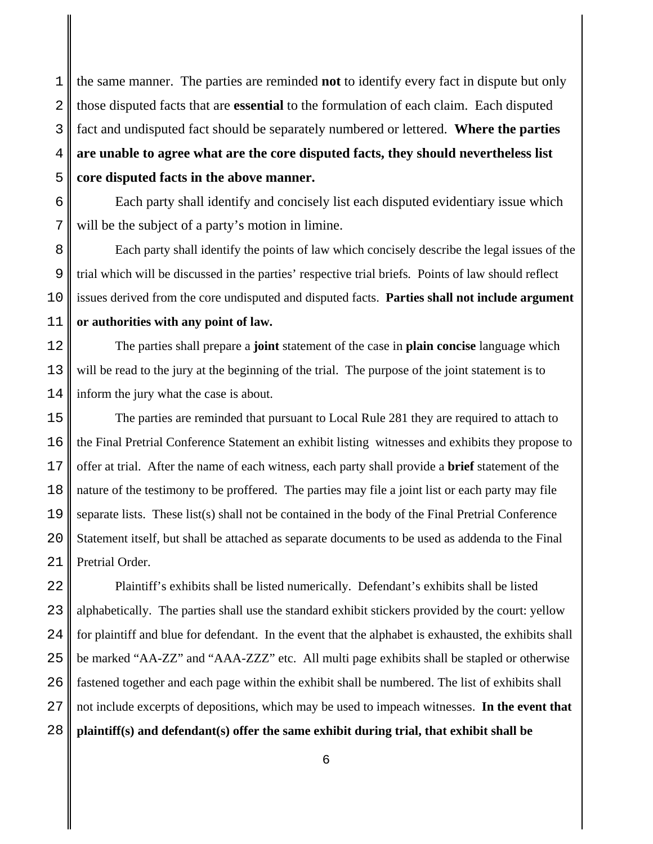the same manner. The parties are reminded **not** to identify every fact in dispute but only those disputed facts that are **essential** to the formulation of each claim. Each disputed fact and undisputed fact should be separately numbered or lettered. **Where the parties are unable to agree what are the core disputed facts, they should nevertheless list core disputed facts in the above manner.**

Each party shall identify and concisely list each disputed evidentiary issue which will be the subject of a party's motion in limine.

Each party shall identify the points of law which concisely describe the legal issues of the trial which will be discussed in the parties' respective trial briefs*.* Points of law should reflect issues derived from the core undisputed and disputed facts. **Parties shall not include argument or authorities with any point of law.**

The parties shall prepare a **joint** statement of the case in **plain concise** language which will be read to the jury at the beginning of the trial. The purpose of the joint statement is to inform the jury what the case is about.

The parties are reminded that pursuant to Local Rule 281 they are required to attach to the Final Pretrial Conference Statement an exhibit listing witnesses and exhibits they propose to offer at trial. After the name of each witness, each party shall provide a **brief** statement of the nature of the testimony to be proffered. The parties may file a joint list or each party may file separate lists. These list(s) shall not be contained in the body of the Final Pretrial Conference Statement itself, but shall be attached as separate documents to be used as addenda to the Final Pretrial Order.

Plaintiff's exhibits shall be listed numerically. Defendant's exhibits shall be listed alphabetically. The parties shall use the standard exhibit stickers provided by the court: yellow for plaintiff and blue for defendant. In the event that the alphabet is exhausted, the exhibits shall be marked "AA-ZZ" and "AAA-ZZZ" etc. All multi page exhibits shall be stapled or otherwise fastened together and each page within the exhibit shall be numbered. The list of exhibits shall not include excerpts of depositions, which may be used to impeach witnesses. **In the event that plaintiff(s) and defendant(s) offer the same exhibit during trial, that exhibit shall be**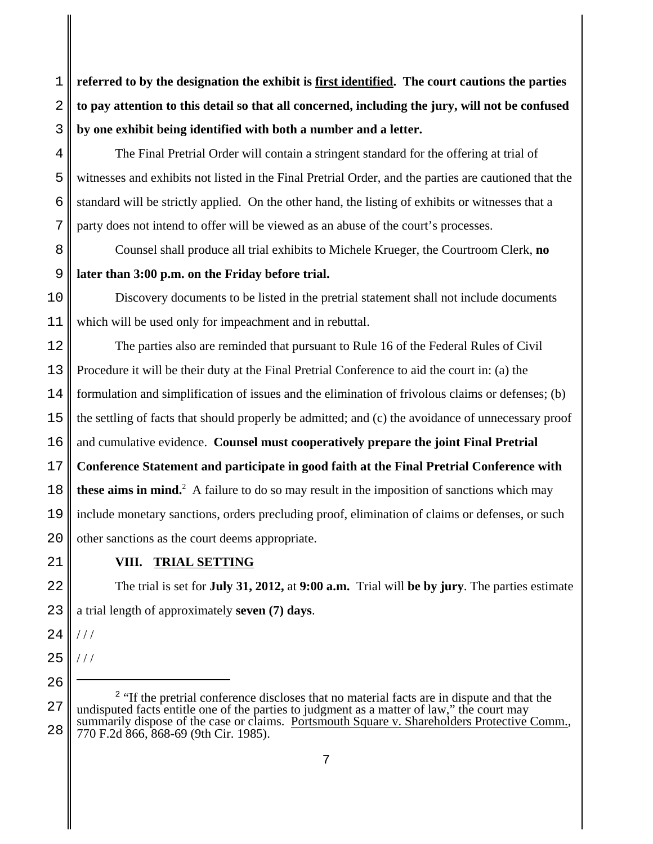**referred to by the designation the exhibit is first identified. The court cautions the parties to pay attention to this detail so that all concerned, including the jury, will not be confused by one exhibit being identified with both a number and a letter.**

The Final Pretrial Order will contain a stringent standard for the offering at trial of witnesses and exhibits not listed in the Final Pretrial Order, and the parties are cautioned that the standard will be strictly applied. On the other hand, the listing of exhibits or witnesses that a party does not intend to offer will be viewed as an abuse of the court's processes.

Counsel shall produce all trial exhibits to Michele Krueger, the Courtroom Clerk, **no later than 3:00 p.m. on the Friday before trial.**

Discovery documents to be listed in the pretrial statement shall not include documents which will be used only for impeachment and in rebuttal.

The parties also are reminded that pursuant to Rule 16 of the Federal Rules of Civil Procedure it will be their duty at the Final Pretrial Conference to aid the court in: (a) the formulation and simplification of issues and the elimination of frivolous claims or defenses; (b) the settling of facts that should properly be admitted; and (c) the avoidance of unnecessary proof and cumulative evidence. **Counsel must cooperatively prepare the joint Final Pretrial Conference Statement and participate in good faith at the Final Pretrial Conference with these aims in mind.**<sup>2</sup> A failure to do so may result in the imposition of sanctions which may include monetary sanctions, orders precluding proof, elimination of claims or defenses, or such other sanctions as the court deems appropriate.

**VIII. TRIAL SETTING**

The trial is set for **July 31, 2012,** at **9:00 a.m.** Trial will **be by jury**. The parties estimate a trial length of approximately **seven (7) days**.

 $1/1$ 

 $1/1$ 

1

2

3

4

5

<sup>26</sup>

<sup>&</sup>lt;sup>2</sup> "If the pretrial conference discloses that no material facts are in dispute and that the undisputed facts entitle one of the parties to judgment as a matter of law," the court may summarily dispose of the case or claims. Portsmouth Square v. Shareholders Protective Comm., 770 F.2d 866, 868-69 (9th Cir. 1985).